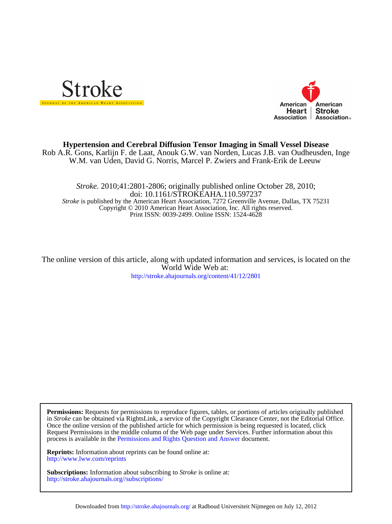



# W.M. van Uden, David G. Norris, Marcel P. Zwiers and Frank-Erik de Leeuw Rob A.R. Gons, Karlijn F. de Laat, Anouk G.W. van Norden, Lucas J.B. van Oudheusden, Inge **Hypertension and Cerebral Diffusion Tensor Imaging in Small Vessel Disease**

Print ISSN: 0039-2499. Online ISSN: 1524-4628 Copyright © 2010 American Heart Association, Inc. All rights reserved. *Stroke* is published by the American Heart Association, 7272 Greenville Avenue, Dallas, TX 75231 doi: 10.1161/STROKEAHA.110.597237 *Stroke.* 2010;41:2801-2806; originally published online October 28, 2010;

World Wide Web at: The online version of this article, along with updated information and services, is located on the

<http://stroke.ahajournals.org/content/41/12/2801>

process is available in the [Permissions and Rights Question and Answer d](http://www.ahajournals.org/site/rights/)ocument. Request Permissions in the middle column of the Web page under Services. Further information about this Once the online version of the published article for which permission is being requested is located, click in *Stroke* can be obtained via RightsLink, a service of the Copyright Clearance Center, not the Editorial Office. **Permissions:** Requests for permissions to reproduce figures, tables, or portions of articles originally published

<http://www.lww.com/reprints> **Reprints:** Information about reprints can be found online at:

<http://stroke.ahajournals.org//subscriptions/> **Subscriptions:** Information about subscribing to *Stroke* is online at: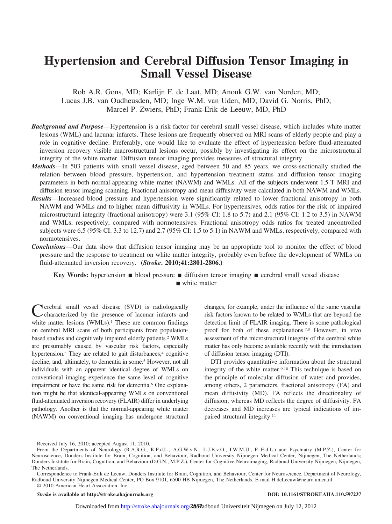# **Hypertension and Cerebral Diffusion Tensor Imaging in Small Vessel Disease**

Rob A.R. Gons, MD; Karlijn F. de Laat, MD; Anouk G.W. van Norden, MD; Lucas J.B. van Oudheusden, MD; Inge W.M. van Uden, MD; David G. Norris, PhD; Marcel P. Zwiers, PhD; Frank-Erik de Leeuw, MD, PhD

- *Background and Purpose*—Hypertension is a risk factor for cerebral small vessel disease, which includes white matter lesions (WML) and lacunar infarcts. These lesions are frequently observed on MRI scans of elderly people and play a role in cognitive decline. Preferably, one would like to evaluate the effect of hypertension before fluid-attenuated inversion recovery visible macrostructural lesions occur, possibly by investigating its effect on the microstructural integrity of the white matter. Diffusion tensor imaging provides measures of structural integrity.
- *Methods*—In 503 patients with small vessel disease, aged between 50 and 85 years, we cross-sectionally studied the relation between blood pressure, hypertension, and hypertension treatment status and diffusion tensor imaging parameters in both normal-appearing white matter (NAWM) and WMLs. All of the subjects underwent 1.5-T MRI and diffusion tensor imaging scanning. Fractional anisotropy and mean diffusivity were calculated in both NAWM and WMLs.
- *Results*—Increased blood pressure and hypertension were significantly related to lower fractional anisotropy in both NAWM and WMLs and to higher mean diffusivity in WMLs. For hypertensives, odds ratios for the risk of impaired microstructural integrity (fractional anisotropy) were 3.1 (95% CI: 1.8 to 5.7) and 2.1 (95% CI: 1.2 to 3.5) in NAWM and WMLs, respectively, compared with normotensives. Fractional anisotropy odds ratios for treated uncontrolled subjects were 6.5 (95% CI: 3.3 to 12.7) and 2.7 (95% CI: 1.5 to 5.1) in NAWM and WMLs, respectively, compared with normotensives.
- *Conclusions*—Our data show that diffusion tensor imaging may be an appropriate tool to monitor the effect of blood pressure and the response to treatment on white matter integrity, probably even before the development of WMLs on fluid-attenuated inversion recovery. **(***Stroke***. 2010;41:2801-2806.)**

**Key Words:** hypertension ■ blood pressure ■ diffusion tensor imaging ■ cerebral small vessel disease white matter

Cerebral small vessel disease (SVD) is radiologically<br>characterized by the presence of lacunar infarcts and white matter lesions (WMLs).<sup>1</sup> These are common findings on cerebral MRI scans of both participants from populationbased studies and cognitively impaired elderly patients.2 WMLs are presumably caused by vascular risk factors, especially hypertension.<sup>3</sup> They are related to gait disturbances,<sup>4</sup> cognitive decline, and, ultimately, to dementia in some.<sup>5</sup> However, not all individuals with an apparent identical degree of WMLs on conventional imaging experience the same level of cognitive impairment or have the same risk for dementia.6 One explanation might be that identical-appearing WMLs on conventional fluid-attenuated inversion recovery (FLAIR) differ in underlying pathology. Another is that the normal-appearing white matter (NAWM) on conventional imaging has undergone structural

changes, for example, under the influence of the same vascular risk factors known to be related to WMLs that are beyond the detection limit of FLAIR imaging. There is some pathological proof for both of these explanations.7,8 However, in vivo assessment of the microstructural integrity of the cerebral white matter has only become available recently with the introduction of diffusion tensor imaging (DTI).

DTI provides quantitative information about the structural integrity of the white matter.9,10 This technique is based on the principle of molecular diffusion of water and provides, among others, 2 parameters, fractional anisotropy (FA) and mean diffusivity (MD). FA reflects the directionality of diffusion, whereas MD reflects the degree of diffusivity. FA decreases and MD increases are typical indications of impaired structural integrity.11

*Stroke* **is available at http://stroke.ahajournals.org DOI: 10.1161/STROKEAHA.110.597237**

Downloaded from<http://stroke.ahajournals.org/>280**2** adboud Universiteit Nijmegen on July 12, 2012

Received July 16, 2010; accepted August 11, 2010.

From the Departments of Neurology (R.A.R.G., K.F.d.L., A.G.W.v.N., L.J.B.v.O., I.W.M.U., F.-E.d.L.) and Psychiatry (M.P.Z.), Center for Neuroscience, Donders Institute for Brain, Cognition, and Behaviour, Radboud University Nijmegen Medical Center, Nijmegen, The Netherlands; Donders Institute for Brain, Cognition, and Behaviour (D.G.N., M.P.Z.), Center for Cognitive Neuroimaging, Radboud University Nijmegen, Nijmegen, The Netherlands.

Correspondence to Frank-Erik de Leeuw, Donders Institute for Brain, Cognition, and Behaviour, Center for Neuroscience, Department of Neurology, Radboud University Nijmegen Medical Center, PO Box 9101, 6500 HB Nijmegen, The Netherlands. E-mail<H.deLeeuw@neuro.umcn.nl> © 2010 American Heart Association, Inc.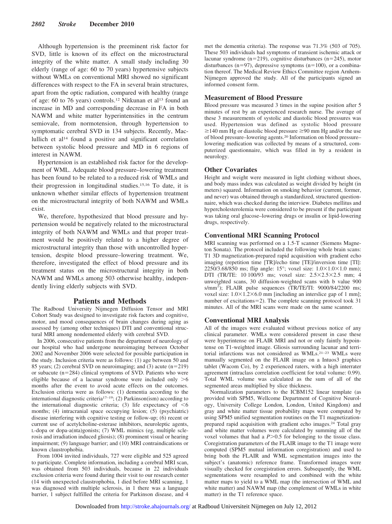Although hypertension is the preeminent risk factor for SVD, little is known of its effect on the microstructural integrity of the white matter. A small study including 30 elderly (range of age: 60 to 70 years) hypertensive subjects without WMLs on conventional MRI showed no significant differences with respect to the FA in several brain structures, apart from the optic radiation, compared with healthy (range of age: 60 to 76 years) controls.<sup>12</sup> Nitkunan et al<sup>13</sup> found an increase in MD and corresponding decrease in FA in both NAWM and white matter hyperintensities in the centrum semiovale, from normotension, through hypertension to symptomatic cerebral SVD in 134 subjects. Recently, Maclullich et al14 found a positive and significant correlation between systolic blood pressure and MD in 6 regions of interest in NAWM.

Hypertension is an established risk factor for the development of WML. Adequate blood pressure–lowering treatment has been found to be related to a reduced risk of WMLs and their progression in longitudinal studies.15,16 To date, it is unknown whether similar effects of hypertension treatment on the microstructural integrity of both NAWM and WMLs exist.

We, therefore, hypothesized that blood pressure and hypertension would be negatively related to the microstructural integrity of both NAWM and WMLs and that proper treatment would be positively related to a higher degree of microstructural integrity than those with uncontrolled hypertension, despite blood pressure–lowering treatment. We, therefore, investigated the effect of blood pressure and its treatment status on the microstructural integrity in both NAWM and WMLs among 503 otherwise healthy, independently living elderly subjects with SVD.

#### **Patients and Methods**

The Radboud University Nijmegen Diffusion Tensor and MRI Cohort Study was designed to investigate risk factors and cognitive, motor, and mood consequences of brain changes during aging as assessed by (among other techniques) DTI and conventional structural MRI among nondemented elderly with cerebral SVD.

In 2006, consecutive patients from the department of neurology of our hospital who had undergone neuroimaging between October 2002 and November 2006 were selected for possible participation in the study. Inclusion criteria were as follows: (1) age between 50 and 85 years; (2) cerebral SVD on neuroimaging; and (3) acute  $(n=219)$ or subacute  $(n=284)$  clinical symptoms of SVD. Patients who were eligible because of a lacunar syndrome were included only  $>6$ months after the event to avoid acute effects on the outcomes. Exclusion criteria were as follows: (1) dementia according to the international diagnostic criteria17–19; (2) Parkinson(ism) according to the international diagnostic criteria; (3) life expectancy of  $\leq 6$ months; (4) intracranial space occupying lesion; (5) (psychiatric) disease interfering with cognitive testing or follow-up; (6) recent or current use of acetylcholine-esterase inhibitors, neuroleptic agents, L-dopa or dopa-a(nta)gonists; (7) WML mimics (eg, multiple sclerosis and irradiation induced gliosis); (8) prominent visual or hearing impairment; (9) language barrier; and (10) MRI contraindications or known claustrophobia.

From 1004 invited individuals, 727 were eligible and 525 agreed to participate. Complete information, including a cerebral MRI scan, was obtained from 503 individuals, because in 22 individuals exclusion criteria were found during their visit to our research center (14 with unexpected claustrophobia, 1 died before MRI scanning, 1 was diagnosed with multiple sclerosis, in 1 there was a language barrier, 1 subject fulfilled the criteria for Parkinson disease, and 4 met the dementia criteria). The response was 71.3% (503 of 705). These 503 individuals had symptoms of transient ischemic attack or lacunar syndrome (n=219), cognitive disturbances (n=245), motor disturbances (n=97), depressive symptoms (n=100), or a combination thereof. The Medical Review Ethics Committee region Arnhem-Nijmegen approved the study. All of the participants signed an informed consent form.

#### **Measurement of Blood Pressure**

Blood pressure was measured 3 times in the supine position after 5 minutes of rest by an experienced research nurse. The average of these 3 measurements of systolic and diastolic blood pressures was used. Hypertension was defined as systolic blood pressure  $\geq$ 140 mm Hg or diastolic blood pressure  $\geq$ 90 mm Hg and/or the use of blood pressure–lowering agents.20 Information on blood pressure– lowering medication was collected by means of a structured, computerized questionnaire, which was filled in by a resident in neurology.

#### **Other Covariates**

Height and weight were measured in light clothing without shoes, and body mass index was calculated as weight divided by height (in meters) squared. Information on smoking behavior (current, former, and never) was obtained through a standardized, structured questionnaire, which was checked during the interview. Diabetes mellitus and hypercholesterolemia were considered to be present if the participant was taking oral glucose–lowering drugs or insulin or lipid-lowering drugs, respectively.

# **Conventional MRI Scanning Protocol**

MRI scanning was performed on a 1.5-T scanner (Siemens Magneton Sonata). The protocol included the following whole brain scans: T1 3D magnetization-prepared rapid acquisition with gradient echo imaging (repetition time [TR]/echo time [TE]/inversion time [TI]: 2250/3.68/850 ms; flip angle: 15°; voxel size:  $1.0 \times 1.0 \times 1.0$  mm); DTI (TR/TE: 10 100/93 ms; voxel size: 2.5×2.5×2.5 mm; 4 unweighted scans, 30 diffusion-weighted scans with b value 900 s/mm<sup>2</sup>); FLAIR pulse sequences (TR/TE/TI: 9000/84/2200 ms; voxel size:  $1.0 \times 1.2 \times 6.0$  mm [including an interslice gap of 1 mm]; number of excitations=2). The complete scanning protocol took  $31$ minutes. All of the MRI scans were made on the same scanner.

#### **Conventional MRI Analysis**

All of the images were evaluated without previous notice of any clinical parameter. WMLs were considered present in case these were hyperintense on FLAIR MRI and not or only faintly hypointense on T1-weighted image. Gliosis surrounding lacunar and territorial infarctions was not considered as WMLs.21–23 WMLs were manually segmented on the FLAIR image on a Intuos3 graphics tablet (Wacom Co), by 2 experienced raters, with a high interrater agreement (intraclass correlation coefficient for total volume: 0.99). Total WML volume was calculated as the sum of all of the segmented areas multiplied by slice thickness.

Normalization parameters to the ICBM152 linear template (as provided with SPM5, Wellcome Department of Cognitive Neurology, University College London, London, United Kingdom) and gray and white matter tissue probability maps were computed by using SPM5 unified segmentation routines on the T1 magnetizationprepared rapid acquisition with gradient echo images.24 Total gray and white matter volumes were calculated by summing all of the voxel volumes that had a  $P > 0.5$  for belonging to the tissue class. Coregistration parameters of the FLAIR image to the T1 image were computed (SPM5 mutual information coregistration) and used to bring both the FLAIR and WML segmentation images into the subject's (anatomic) reference frame. Transformed images were visually checked for coregistration errors. Subsequently, the WML segmentations were resampled to and combined with the white matter maps to yield to a WML map (the intersection of WML and white matter) and NAWM map (the complement of WMLs in white matter) in the T1 reference space.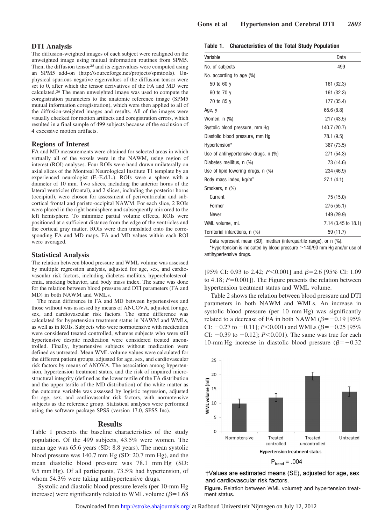# **DTI Analysis**

The diffusion-weighted images of each subject were realigned on the unweighted image using mutual information routines from SPM5. Then, the diffusion tensor<sup>25</sup> and its eigenvalues were computed using an SPM5 add-on [\(http://sourceforge.net/projects/spmtools\)](http://sourceforge.net/projects/spmtools). Unphysical spurious negative eigenvalues of the diffusion tensor were set to 0, after which the tensor derivatives of the FA and MD were calculated.26 The mean unweighted image was used to compute the coregistration parameters to the anatomic reference image (SPM5 mutual information coregistration), which were then applied to all of the diffusion-weighted images and results. All of the images were visually checked for motion artifacts and coregistration errors, which resulted in a final sample of 499 subjects because of the exclusion of 4 excessive motion artifacts.

#### **Regions of Interest**

FA and MD measurements were obtained for selected areas in which virtually all of the voxels were in the NAWM, using region of interest (ROI) analyses. Four ROIs were hand drawn unilaterally on axial slices of the Montreal Neurological Institute T1 template by an experienced neurologist (F.-E.d.L.). ROIs were a sphere with a diameter of 10 mm. Two slices, including the anterior horns of the lateral ventricles (frontal), and 2 slices, including the posterior horns (occipital), were chosen for assessment of periventricular and subcortical frontal and parieto-occipital NAWM. For each slice, 2 ROIs were placed in the right hemisphere and subsequently mirrored to the left hemisphere. To minimize partial volume effects, ROIs were positioned at a sufficient distance from the edge of the ventricles and the cortical gray matter. ROIs were then translated onto the corresponding FA and MD maps. FA and MD values within each ROI were averaged.

#### **Statistical Analysis**

The relation between blood pressure and WML volume was assessed by multiple regression analysis, adjusted for age, sex, and cardiovascular risk factors, including diabetes mellitus, hypercholesterolemia, smoking behavior, and body mass index. The same was done for the relation between blood pressure and DTI parameters (FA and MD) in both NAWM and WMLs.

The mean difference in FA and MD between hypertensives and those without was assessed by means of ANCOVA, adjusted for age, sex, and cardiovascular risk factors. The same difference was calculated for hypertension treatment status in NAWM and WMLs, as well as in ROIs. Subjects who were normotensive with medication were considered treated controlled, whereas subjects who were still hypertensive despite medication were considered treated uncontrolled. Finally, hypertensive subjects without medication were defined as untreated. Mean WML volume values were calculated for the different patient groups, adjusted for age, sex, and cardiovascular risk factors by means of ANOVA. The association among hypertension, hypertension treatment status, and the risk of impaired microstructural integrity (defined as the lower tertile of the FA distribution and the upper tertile of the MD distribution) of the white matter as the outcome variable was assessed by logistic regression, adjusted for age, sex, and cardiovascular risk factors, with normotensive subjects as the reference group. Statistical analyses were performed using the software package SPSS (version 17.0, SPSS Inc).

#### **Results**

Table 1 presents the baseline characteristics of the study population. Of the 499 subjects, 43.5% were women. The mean age was 65.6 years (SD: 8.8 years). The mean systolic blood pressure was 140.7 mm Hg (SD: 20.7 mm Hg), and the mean diastolic blood pressure was 78.1 mm Hg (SD: 9.5 mm Hg). Of all participants, 73.5% had hypertension, of whom 54.3% were taking antihypertensive drugs.

Systolic and diastolic blood pressure levels (per 10-mm Hg increase) were significantly related to WML volume ( $\beta$ =1.68

| Table 1. | <b>Characteristics of the Total Study Population</b> |  |  |  |  |
|----------|------------------------------------------------------|--|--|--|--|
|----------|------------------------------------------------------|--|--|--|--|

| Variable                             | Data                |
|--------------------------------------|---------------------|
| No. of subjects                      | 499                 |
| No. according to age (%)             |                     |
| 50 to 60 y                           | 161 (32.3)          |
| 60 to 70 y                           | 161 (32.3)          |
| 70 to 85 y                           | 177 (35.4)          |
| Age, y                               | 65.6 (8.8)          |
| Women, n (%)                         | 217 (43.5)          |
| Systolic blood pressure, mm Hg       | 140.7 (20.7)        |
| Diastolic blood pressure, mm Hg      | 78.1 (9.5)          |
| Hypertension*                        | 367 (73.5)          |
| Use of antihypertensive drugs, n (%) | 271 (54.3)          |
| Diabetes mellitus, n (%)             | 73 (14.6)           |
| Use of lipid lowering drugs, n (%)   | 234 (46.9)          |
| Body mass index, kg/m <sup>2</sup>   | 27.1(4.1)           |
| Smokers, n (%)                       |                     |
| Current                              | 75 (15.0)           |
| Former                               | 275 (55.1)          |
| Never                                | 149 (29.9)          |
| WML volume, mL                       | 7.14 (3.45 to 18.1) |
| Territorial infarctions, n (%)       | 59 (11.7)           |

Data represent mean (SD), median (interquartile range), or n (%).

\*Hypertension is indicated by blood pressure  $\geq$  140/90 mm Hg and/or use of antihypertensive drugs.

[95% CI: 0.93 to 2.42;  $P \le 0.001$ ] and  $\beta = 2.6$  [95% CI: 1.09 to 4.18;  $P=0.001$ ]). The Figure presents the relation between hypertension treatment status and WML volume.

Table 2 shows the relation between blood pressure and DTI parameters in both NAWM and WMLs. An increase in systolic blood pressure (per 10 mm Hg) was significantly related to a decrease of FA in both NAWM  $(\beta = -0.19)$  [95% CI:  $-0.27$  to  $-0.11$ ]; *P*<0.001) and WMLs ( $\beta$ = $-0.25$  [95% CI:  $-0.39$  to  $-0.12$ ]; *P*<0.001). The same was true for each 10-mm Hg increase in diastolic blood pressure ( $\beta$ = -0.32



†Values are estimated means (SE), adjusted for age, sex and cardiovascular risk factors.

**Figure.** Relation between WML volume† and hypertension treatment status.

Downloaded from<http://stroke.ahajournals.org/>at Radboud Universiteit Nijmegen on July 12, 2012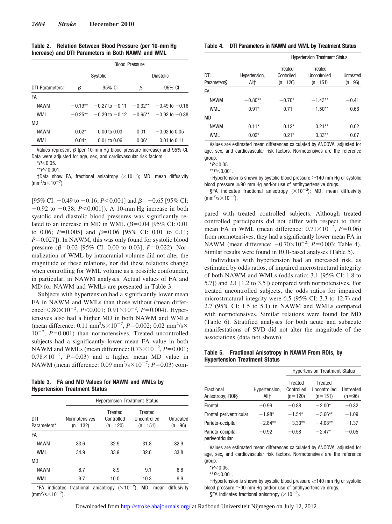| Table 2. Relation Between Blood Pressure (per 10-mm Hg |
|--------------------------------------------------------|
| Increase) and DTI Parameters in Both NAWM and WML      |

|                 | <b>Blood Pressure</b> |                              |                  |                    |  |  |
|-----------------|-----------------------|------------------------------|------------------|--------------------|--|--|
|                 | Systolic              |                              | <b>Diastolic</b> |                    |  |  |
| DTI Parameterst | β                     | 95% CI                       | β                | 95% CI             |  |  |
| FA              |                       |                              |                  |                    |  |  |
| <b>NAWM</b>     | $-0.19**$             | $-0.27$ to $-0.11$           | $-0.32**$        | $-0.49$ to $-0.16$ |  |  |
| <b>WML</b>      | $-0.25**$             | $-0.39$ to $-0.12$ $-0.65**$ |                  | $-0.92$ to $-0.38$ |  |  |
| <b>MD</b>       |                       |                              |                  |                    |  |  |
| <b>NAWM</b>     | $0.02*$               | $0.00 \text{ to } 0.03$      | 0.01             | $-0.02$ to 0.05    |  |  |
| WML             | $0.04*$               | $0.01$ to $0.06$             | $0.06*$          | $0.01$ to $0.11$   |  |  |

Values represent  $\beta$  (per 10-mm Hg blood pressure increase) and 95% CI. Data were adjusted for age, sex, and cardiovascular risk factors.

\**P*<0.05

 $*$ *P* $<$ 0.001.

†Data show FA, fractional anisotropy  $(\times 10^{-2})$ ; MD, mean diffusivity  $\frac{\text{mm}^2}{\text{s}} \times 10^{-7}$ ).

[95% CI:  $-0.49$  to  $-0.16$ ; *P*<0.001] and  $\beta$ = $-0.65$  [95% CI:  $-0.92$  to  $-0.38$ ; *P*<0.001]). A 10-mm Hg increase in both systolic and diastolic blood pressures was significantly related to an increase in MD in WML  $(\beta=0.04$  [95% CI: 0.01] to 0.06;  $P=0.005$ ] and  $\beta=0.06$  [95% CI: 0.01 to 0.11; *P*=0.027]). In NAWM, this was only found for systolic blood pressure ( $\beta$ =0.02 [95% CI: 0.00 to 0.03]; *P*=0.022). Normalization of WML by intracranial volume did not alter the magnitude of these relations, nor did these relations change when controlling for WML volume as a possible confounder, in particular, in NAWM analyses. Actual values of FA and MD for NAWM and WMLs are presented in Table 3.

Subjects with hypertension had a significantly lower mean FA in NAWM and WMLs than those without (mean difference:  $0.80 \times 10^{-2}$ ,  $P \le 0.001$ ;  $0.91 \times 10^{-2}$ ,  $P = 0.004$ ). Hypertensives also had a higher MD in both NAWM and WMLs (mean difference:  $0.11 \text{ mm}^2/\text{s} \times 10^{-7}$ ,  $P = 0.002$ ;  $0.02 \text{ mm}^2/\text{s} \times$  $10^{-7}$ ,  $P=0.001$ ) than normotensives. Treated uncontrolled subjects had a significantly lower mean FA value in both NAWM and WMLs (mean difference:  $0.73 \times 10^{-2}$ ,  $P=0.001$ ;  $0.78 \times 10^{-2}$ ,  $P=0.03$ ) and a higher mean MD value in NAWM (mean difference:  $0.09 \text{ mm}^2/\text{s} \times 10^{-7}$ ;  $P=0.03$ ) com-

#### **Table 3. FA and MD Values for NAWM and WMLs by Hypertension Treatment Status**

|                    | <b>Hypertension Treatment Status</b> |                                    |                                      |                       |  |  |
|--------------------|--------------------------------------|------------------------------------|--------------------------------------|-----------------------|--|--|
| DTI<br>Parameters* | Normotensives<br>$(n=132)$           | Treated<br>Controlled<br>$(n=120)$ | Treated<br>Uncontrolled<br>$(n=151)$ | Untreated<br>$(n=96)$ |  |  |
| FA                 |                                      |                                    |                                      |                       |  |  |
| <b>NAWM</b>        | 33.6                                 | 32.9                               | 31.8                                 | 32.9                  |  |  |
| <b>WML</b>         | 34.9                                 | 33.9                               | 32.6                                 | 33.8                  |  |  |
| <b>MD</b>          |                                      |                                    |                                      |                       |  |  |
| <b>NAWM</b>        | 8.7                                  | 8.9                                | 9.1                                  | 8.8                   |  |  |
| WML                | 9.7                                  | 10.0                               | 10.3                                 | 9.9                   |  |  |

\*FA indicates fractional anisotropy  $(\times 10^{-2})$ ; MD, mean diffusivity  $\frac{\text{mm}^2}{\text{s} \times 10^{-7}}$ .

| Table 4. | DTI Parameters in NAWM and WML by Treatment Status |  |  |  |  |  |  |
|----------|----------------------------------------------------|--|--|--|--|--|--|
|----------|----------------------------------------------------|--|--|--|--|--|--|

|                          |                       | <b>Hypertension Treatment Status</b> |                                             |                              |  |  |
|--------------------------|-----------------------|--------------------------------------|---------------------------------------------|------------------------------|--|--|
| DTI<br><b>Parameters</b> | Hypertension,<br>All† | Treated<br>Controlled<br>$(n=120)$   | Treated<br><b>Uncontrolled</b><br>$(n=151)$ | <b>Untreated</b><br>$(n=96)$ |  |  |
| FA                       |                       |                                      |                                             |                              |  |  |
| <b>NAWM</b>              | $-0.80**$             | $-0.70*$                             | $-1.43**$                                   | $-0.41$                      |  |  |
| <b>WML</b>               | $-0.91*$              | $-0.71$                              | $-1.50**$                                   | $-0.66$                      |  |  |
| <b>MD</b>                |                       |                                      |                                             |                              |  |  |
| <b>NAWM</b>              | $0.11*$               | $0.12*$                              | $0.21***$                                   | 0.02                         |  |  |
| <b>WML</b>               | $0.02*$               | $0.21*$                              | $0.33**$                                    | 0.07                         |  |  |

Values are estimated mean differences calculated by ANCOVA, adjusted for age, sex, and cardiovascular risk factors. Normotensives are the reference group.

 $*P<0.05$ .

 $*$ *P*<0.001.

 $\dagger$ Hypertension is shown by systolic blood pressure  $\geq$ 140 mm Hg or systolic blood pressure  $\geq$ 90 mm Hg and/or use of antihypertensive drugs.

§FA indicates fractional anisotropy ( $\times$ 10<sup>-2</sup>); MD, mean diffusivity  $\frac{\text{mm}^2}{\text{s}} \times 10^{-7}$ .

pared with treated controlled subjects. Although treated controlled participants did not differ with respect to their mean FA in WML (mean difference:  $0.71 \times 10^{-2}$ ,  $P=0.06$ ) from normotensives, they had a significantly lower mean FA in NAWM (mean difference:  $-0.70 \times 10^{-2}$ ;  $P=0.003$ ; Table 4). Similar results were found in ROI-based analyses (Table 5).

Individuals with hypertension had an increased risk, as estimated by odds ratios, of impaired microstructural integrity of both NAWM and WMLs (odds ratio: 3.1 [95% CI: 1.8 to 5.7]) and 2.1 [1.2 to 3.5]) compared with normotensives. For treated uncontrolled subjects, the odds ratios for impaired microstructural integrity were 6.5 (95% CI: 3.3 to 12.7) and 2.7 (95% CI: 1.5 to 5.1) in NAWM and WMLs compared with normotensives. Similar relations were found for MD (Table 6). Stratified analyses for both acute and subacute manifestations of SVD did not alter the magnitude of the associations (data not shown).

# **Table 5. Fractional Anisotropy in NAWM From ROIs, by Hypertension Treatment Status**

|                                      |                       | <b>Hypertension Treatment Status</b> |                                      |                       |
|--------------------------------------|-----------------------|--------------------------------------|--------------------------------------|-----------------------|
| Fractional<br>Anisotropy, ROI§       | Hypertension,<br>All† | Treated<br>Controlled<br>$(n=120)$   | Treated<br>Uncontrolled<br>$(n=151)$ | Untreated<br>$(n=96)$ |
| Frontal                              | $-0.99$               | $-0.88$                              | $-2.00*$                             | $-0.32$               |
| Frontal periventricular              | $-1.98*$              | $-1.54*$                             | $-3.66**$                            | $-1.09$               |
| Parieto-occipital                    | $-2.84**$             | $-3.33**$                            | $-4.08**$                            | $-1.37$               |
| Parieto-occipital<br>periventricular | $-0.92$               | $-0.58$                              | $-2.47*$                             | $-0.05$               |

Values are estimated mean differences calculated by ANCOVA, adjusted for age, sex, and cardiovascular risk factors. Normotensives are the reference group.

 $*P<0.05$ .

\*\**P*<0.001.

 $\dagger$ Hypertension is shown by systolic blood pressure  $\geq$  140 mm Hg or systolic blood pressure  $\geq 90$  mm Hg and/or use of antihypertensive drugs. §FA indicates fractional anisotropy ( $\times$ 10<sup>-2</sup>).

Downloaded from<http://stroke.ahajournals.org/>at Radboud Universiteit Nijmegen on July 12, 2012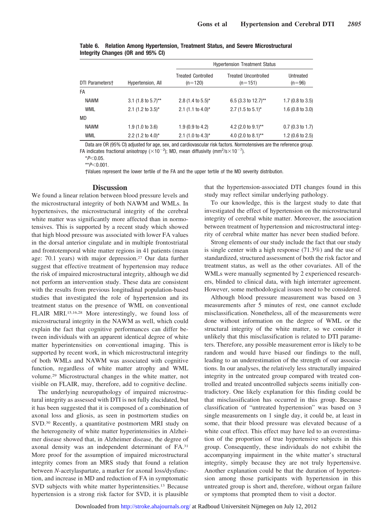|                 |                               | <b>Hypertension Treatment Status</b>   |                                          |                             |  |  |
|-----------------|-------------------------------|----------------------------------------|------------------------------------------|-----------------------------|--|--|
| DTI Parameters+ | Hypertension, All             | <b>Treated Controlled</b><br>$(n=120)$ | <b>Treated Uncontrolled</b><br>$(n=151)$ | Untreated<br>$(n=96)$       |  |  |
| FA              |                               |                                        |                                          |                             |  |  |
| <b>NAWM</b>     | 3.1 (1.8 to 5.7)**            | 2.8 $(1.4 \text{ to } 5.5)^*$          | 6.5 (3.3 to 12.7)**                      | $1.7(0.8 \text{ to } 3.5)$  |  |  |
| <b>WML</b>      | 2.1 $(1.2 \text{ to } 3.5)^*$ | 2.1 $(1.1 \text{ to } 4.0)^*$          | 2.7 $(1.5 \text{ to } 5.1)^*$            | $1.6(0.8 \text{ to } 3.0)$  |  |  |
| <b>MD</b>       |                               |                                        |                                          |                             |  |  |
| <b>NAWM</b>     | $1.9(1.0 \text{ to } 3.6)$    | 1.9 $(0.9 \text{ to } 4.2)$            | 4.2 (2.0 to 9.1)**                       | $0.7$ (0.3 to 1.7)          |  |  |
| <b>WML</b>      | 2.2 (1.2 to 4.0)*             | 2.1 $(1.0 \text{ to } 4.3)^*$          | 4.0 (2.0 to 8.1)**                       | 1.2 $(0.6 \text{ to } 2.5)$ |  |  |

**Table 6. Relation Among Hypertension, Treatment Status, and Severe Microstructural Integrity Changes (OR and 95% CI)**

Data are OR (95% CI) adjusted for age, sex, and cardiovascular risk factors. Normotensives are the reference group. FA indicates fractional anisotropy ( $\times$ 10<sup>-2</sup>); MD, mean diffusivity (mm<sup>2</sup>/s $\times$ 10<sup>-7</sup>).

 $*P<0.05$ .

 $*$ *P*<0.001.

†Values represent the lower tertile of the FA and the upper tertile of the MD severity distribution.

### **Discussion**

We found a linear relation between blood pressure levels and the microstructural integrity of both NAWM and WMLs. In hypertensives, the microstructural integrity of the cerebral white matter was significantly more affected than in normotensives. This is supported by a recent study which showed that high blood pressure was associated with lower FA values in the dorsal anterior cingulate and in multiple frontostriatal and frontotemporal white matter regions in 41 patients (mean age: 70.1 years) with major depression.27 Our data further suggest that effective treatment of hypertension may reduce the risk of impaired microstructural integrity, although we did not perform an intervention study. These data are consistent with the results from previous longitudinal population-based studies that investigated the role of hypertension and its treatment status on the presence of WML on conventional FLAIR MRI.15,16,28 More interestingly, we found loss of microstructural integrity in the NAWM as well, which could explain the fact that cognitive performances can differ between individuals with an apparent identical degree of white matter hyperintensities on conventional imaging. This is supported by recent work, in which microstructural integrity of both WMLs and NAWM was associated with cognitive function, regardless of white matter atrophy and WML volume.29 Microstructural changes in the white matter, not visible on FLAIR, may, therefore, add to cognitive decline.

The underlying neuropathology of impaired microstructural integrity as assessed with DTI is not fully elucidated, but it has been suggested that it is composed of a combination of axonal loss and gliosis, as seen in postmortem studies on SVD.30 Recently, a quantitative postmortem MRI study on the heterogeneity of white matter hyperintensities in Alzheimer disease showed that, in Alzheimer disease, the degree of axonal density was an independent determinant of FA.31 More proof for the assumption of impaired microstructural integrity comes from an MRS study that found a relation between *N*-acetylaspartate, a marker for axonal loss/dysfunction, and increase in MD and reduction of FA in symptomatic SVD subjects with white matter hyperintensities.<sup>13</sup> Because hypertension is a strong risk factor for SVD, it is plausible that the hypertension-associated DTI changes found in this study may reflect similar underlying pathology.

To our knowledge, this is the largest study to date that investigated the effect of hypertension on the microstructural integrity of cerebral white matter. Moreover, the association between treatment of hypertension and microstructural integrity of cerebral white matter has never been studied before.

Strong elements of our study include the fact that our study is single center with a high response (71.3%) and the use of standardized, structured assessment of both the risk factor and treatment status, as well as the other covariates. All of the WMLs were manually segmented by 2 experienced researchers, blinded to clinical data, with high interrater agreement. However, some methodological issues need to be considered.

Although blood pressure measurement was based on 3 measurements after 5 minutes of rest, one cannot exclude misclassification. Nonetheless, all of the measurements were done without information on the degree of WML or the structural integrity of the white matter, so we consider it unlikely that this misclassification is related to DTI parameters. Therefore, any possible measurement error is likely to be random and would have biased our findings to the null, leading to an underestimation of the strength of our associations. In our analyses, the relatively less structurally impaired integrity in the untreated group compared with treated controlled and treated uncontrolled subjects seems initially contradictory. One likely explanation for this finding could be that misclassification has occurred in this group. Because classification of "untreated hypertension" was based on 3 single measurements on 1 single day, it could be, at least in some, that their blood pressure was elevated because of a white coat effect. This effect may have led to an overestimation of the proportion of true hypertensive subjects in this group. Consequently, these individuals do not exhibit the accompanying impairment in the white matter's structural integrity, simply because they are not truly hypertensive. Another explanation could be that the duration of hypertension among those participants with hypertension in this untreated group is short and, therefore, without organ failure or symptoms that prompted them to visit a doctor.